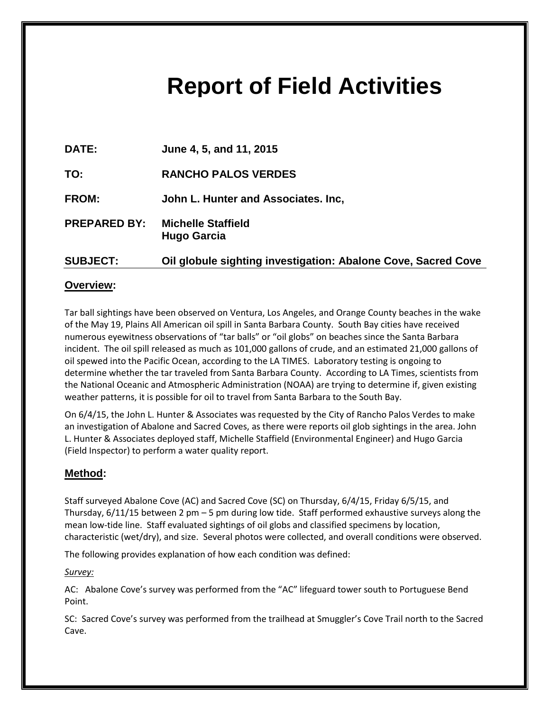# **Report of Field Activities**

| DATE:               | June 4, 5, and 11, 2015                                       |
|---------------------|---------------------------------------------------------------|
| TO:                 | <b>RANCHO PALOS VERDES</b>                                    |
| <b>FROM:</b>        | John L. Hunter and Associates. Inc.                           |
| <b>PREPARED BY:</b> | <b>Michelle Staffield</b><br><b>Hugo Garcia</b>               |
| <b>SUBJECT:</b>     | Oil globule sighting investigation: Abalone Cove, Sacred Cove |

# **Overview:**

Tar ball sightings have been observed on Ventura, Los Angeles, and Orange County beaches in the wake of the May 19, Plains All American oil spill in Santa Barbara County. South Bay cities have received numerous eyewitness observations of "tar balls" or "oil globs" on beaches since the Santa Barbara incident. The oil spill released as much as 101,000 gallons of crude, and an estimated 21,000 gallons of oil spewed into the Pacific Ocean, according to the LA TIMES. Laboratory testing is ongoing to determine whether the tar traveled from Santa Barbara County. According to LA Times, scientists from the National Oceanic and Atmospheric Administration (NOAA) are trying to determine if, given existing weather patterns, it is possible for oil to travel from Santa Barbara to the South Bay.

On 6/4/15, the John L. Hunter & Associates was requested by the City of Rancho Palos Verdes to make an investigation of Abalone and Sacred Coves, as there were reports oil glob sightings in the area. John L. Hunter & Associates deployed staff, Michelle Staffield (Environmental Engineer) and Hugo Garcia (Field Inspector) to perform a water quality report.

## **Method:**

Staff surveyed Abalone Cove (AC) and Sacred Cove (SC) on Thursday, 6/4/15, Friday 6/5/15, and Thursday, 6/11/15 between 2 pm – 5 pm during low tide. Staff performed exhaustive surveys along the mean low-tide line. Staff evaluated sightings of oil globs and classified specimens by location, characteristic (wet/dry), and size. Several photos were collected, and overall conditions were observed.

The following provides explanation of how each condition was defined:

*Survey:*

AC: Abalone Cove's survey was performed from the "AC" lifeguard tower south to Portuguese Bend Point.

SC: Sacred Cove's survey was performed from the trailhead at Smuggler's Cove Trail north to the Sacred Cave.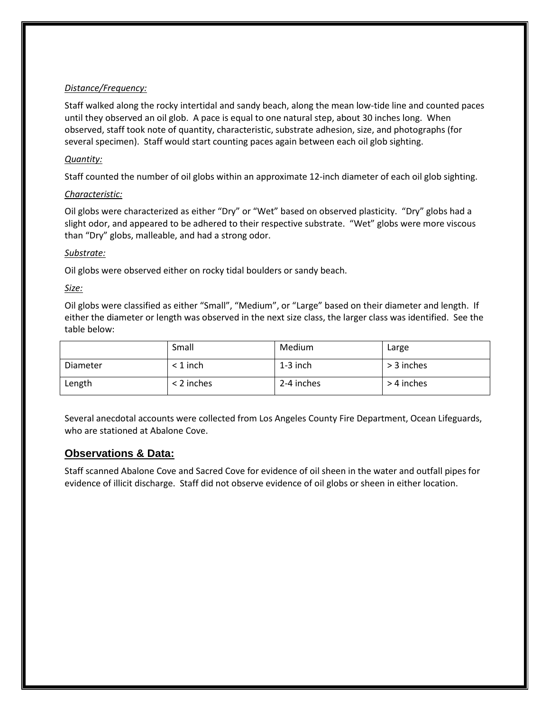## *Distance/Frequency:*

Staff walked along the rocky intertidal and sandy beach, along the mean low-tide line and counted paces until they observed an oil glob. A pace is equal to one natural step, about 30 inches long. When observed, staff took note of quantity, characteristic, substrate adhesion, size, and photographs (for several specimen). Staff would start counting paces again between each oil glob sighting.

## *Quantity:*

Staff counted the number of oil globs within an approximate 12-inch diameter of each oil glob sighting.

## *Characteristic:*

Oil globs were characterized as either "Dry" or "Wet" based on observed plasticity. "Dry" globs had a slight odor, and appeared to be adhered to their respective substrate. "Wet" globs were more viscous than "Dry" globs, malleable, and had a strong odor.

## *Substrate:*

Oil globs were observed either on rocky tidal boulders or sandy beach.

## *Size:*

Oil globs were classified as either "Small", "Medium", or "Large" based on their diameter and length. If either the diameter or length was observed in the next size class, the larger class was identified. See the table below:

|          | Small        | Medium     | Large      |
|----------|--------------|------------|------------|
| Diameter | < 1 inch     | $1-3$ inch | > 3 inches |
| Length   | $<$ 2 inches | 2-4 inches | > 4 inches |

Several anecdotal accounts were collected from Los Angeles County Fire Department, Ocean Lifeguards, who are stationed at Abalone Cove.

## **Observations & Data:**

Staff scanned Abalone Cove and Sacred Cove for evidence of oil sheen in the water and outfall pipes for evidence of illicit discharge. Staff did not observe evidence of oil globs or sheen in either location.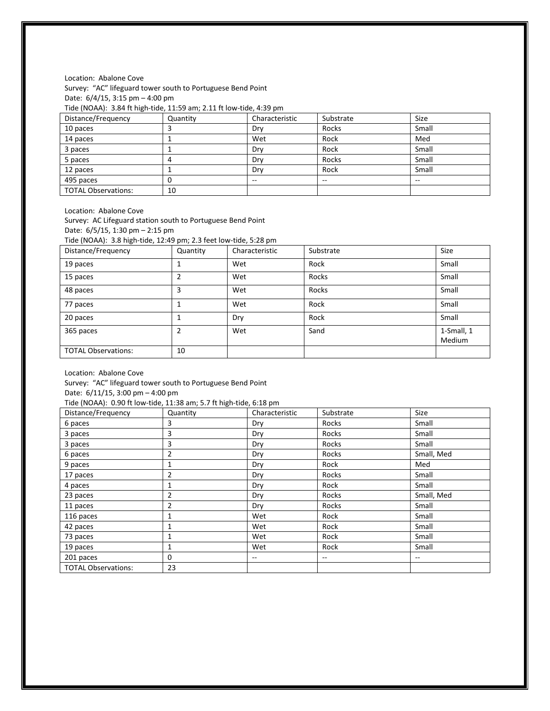Location: Abalone Cove

Survey: "AC" lifeguard tower south to Portuguese Bend Point Date: 6/4/15, 3:15 pm – 4:00 pm

Tide (NOAA): 3.84 ft high-tide, 11:59 am; 2.11 ft low-tide, 4:39 pm

| Distance/Frequency         | Quantity | Characteristic | Substrate                | Size  |
|----------------------------|----------|----------------|--------------------------|-------|
| 10 paces                   |          | Drv            | Rocks                    | Small |
| 14 paces                   |          | Wet            | Rock                     | Med   |
| 3 paces                    |          | Drv            | Rock                     | Small |
| 5 paces                    |          | Drv            | Rocks                    | Small |
| 12 paces                   |          | Drv            | Rock                     | Small |
| 495 paces                  |          | --             | $\overline{\phantom{m}}$ | --    |
| <b>TOTAL Observations:</b> | 10       |                |                          |       |

Location: Abalone Cove

Survey: AC Lifeguard station south to Portuguese Bend Point Date: 6/5/15, 1:30 pm – 2:15 pm

Tide (NOAA): 3.8 high-tide, 12:49 pm; 2.3 feet low-tide, 5:28 pm

| Distance/Frequency         | Quantity       | Characteristic | Substrate | Size                        |
|----------------------------|----------------|----------------|-----------|-----------------------------|
| 19 paces                   |                | Wet            | Rock      | Small                       |
| 15 paces                   | 2              | Wet            | Rocks     | Small                       |
| 48 paces                   | 3              | Wet            | Rocks     | Small                       |
| 77 paces                   |                | Wet            | Rock      | Small                       |
| 20 paces                   |                | Dry            | Rock      | Small                       |
| 365 paces                  | $\overline{2}$ | Wet            | Sand      | 1-Small, 1<br><b>Medium</b> |
| <b>TOTAL Observations:</b> | 10             |                |           |                             |

Location: Abalone Cove

Survey: "AC" lifeguard tower south to Portuguese Bend Point

Date: 6/11/15, 3:00 pm – 4:00 pm

Tide (NOAA): 0.90 ft low-tide, 11:38 am; 5.7 ft high-tide, 6:18 pm

| Distance/Frequency         | Quantity | Characteristic | Substrate | <b>Size</b> |
|----------------------------|----------|----------------|-----------|-------------|
| 6 paces                    | 3        | Dry            | Rocks     | Small       |
| 3 paces                    | 3        | Dry            | Rocks     | Small       |
| 3 paces                    | 3        | Dry            | Rocks     | Small       |
| 6 paces                    | 2        | Dry            | Rocks     | Small, Med  |
| 9 paces                    |          | Dry            | Rock      | Med         |
| 17 paces                   | 2        | Dry            | Rocks     | Small       |
| 4 paces                    |          | Dry            | Rock      | Small       |
| 23 paces                   | 2        | Dry            | Rocks     | Small, Med  |
| 11 paces                   | 2        | Dry            | Rocks     | Small       |
| 116 paces                  |          | Wet            | Rock      | Small       |
| 42 paces                   |          | Wet            | Rock      | Small       |
| 73 paces                   | 1        | Wet            | Rock      | Small       |
| 19 paces                   |          | Wet            | Rock      | Small       |
| 201 paces                  | 0        | $- -$          | $- -$     | $- -$       |
| <b>TOTAL Observations:</b> | 23       |                |           |             |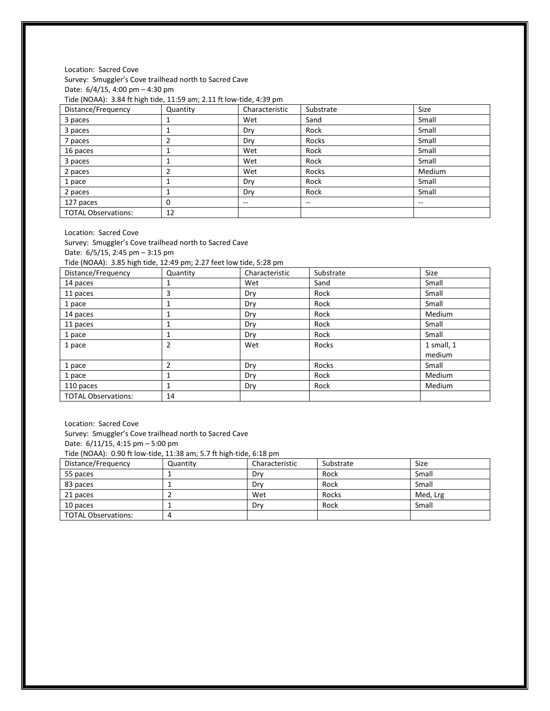#### Location: Sacred Cove Survey: Smuggler's Cove trailhead north to Sacred Cave Date: 6/4/15, 4:00 pm – 4:30 pm Tide (NOAA): 3.84 ft high tide, 11:59 am; 2.11 ft low-tide, 4:39 pm

| Distance/Frequency         | Quantity | Characteristic | Substrate | Size   |
|----------------------------|----------|----------------|-----------|--------|
| 3 paces                    |          | Wet            | Sand      | Small  |
| 3 paces                    |          | Dry            | Rock      | Small  |
| 7 paces                    |          | Dry            | Rocks     | Small  |
| 16 paces                   |          | Wet            | Rock      | Small  |
| 3 paces                    |          | Wet            | Rock      | Small  |
| 2 paces                    |          | Wet            | Rocks     | Medium |
| 1 pace                     |          | Dry            | Rock      | Small  |
| 2 paces                    |          | Dry            | Rock      | Small  |
| 127 paces                  | $\Omega$ | $- -$          | --        | --     |
| <b>TOTAL Observations:</b> | 12       |                |           |        |

Location: Sacred Cove

Survey: Smuggler's Cove trailhead north to Sacred Cave Date: 6/5/15, 2:45 pm – 3:15 pm

Tide (NOAA): 3.85 high tide, 12:49 pm; 2.27 feet low tide, 5:28 pm

| Distance/Frequency         | Quantity | Characteristic | Substrate | Size       |
|----------------------------|----------|----------------|-----------|------------|
| 14 paces                   |          | Wet            | Sand      | Small      |
| 11 paces                   | 3        | Dry            | Rock      | Small      |
| 1 pace                     |          | Dry            | Rock      | Small      |
| 14 paces                   |          | Dry            | Rock      | Medium     |
| 11 paces                   |          | Dry            | Rock      | Small      |
| 1 pace                     |          | Dry            | Rock      | Small      |
| 1 pace                     |          | Wet            | Rocks     | 1 small, 1 |
|                            |          |                |           | medium     |
| 1 pace                     |          | Dry            | Rocks     | Small      |
| 1 pace                     |          | Dry            | Rock      | Medium     |
| 110 paces                  |          | Dry            | Rock      | Medium     |
| <b>TOTAL Observations:</b> | 14       |                |           |            |

Location: Sacred Cove Survey: Smuggler's Cove trailhead north to Sacred Cave Date: 6/11/15, 4:15 pm – 5:00 pm Tide (NOAA): 0.90 ft low-tide, 11:38 am; 5.7 ft high-tide, 6:18 pm

| $1.999$ (1.8. 9.1. 9.50 it forms that if all the same set of the state $\mu$ |          |                |           |          |
|------------------------------------------------------------------------------|----------|----------------|-----------|----------|
| Distance/Frequency                                                           | Quantity | Characteristic | Substrate | Size     |
| 55 paces                                                                     |          | Drv            | Rock      | Small    |
| 83 paces                                                                     |          | Drv            | Rock      | Small    |
| 21 paces                                                                     |          | Wet            | Rocks     | Med, Lrg |
| 10 paces                                                                     |          | Drv            | Rock      | Small    |
| <b>TOTAL Observations:</b>                                                   |          |                |           |          |